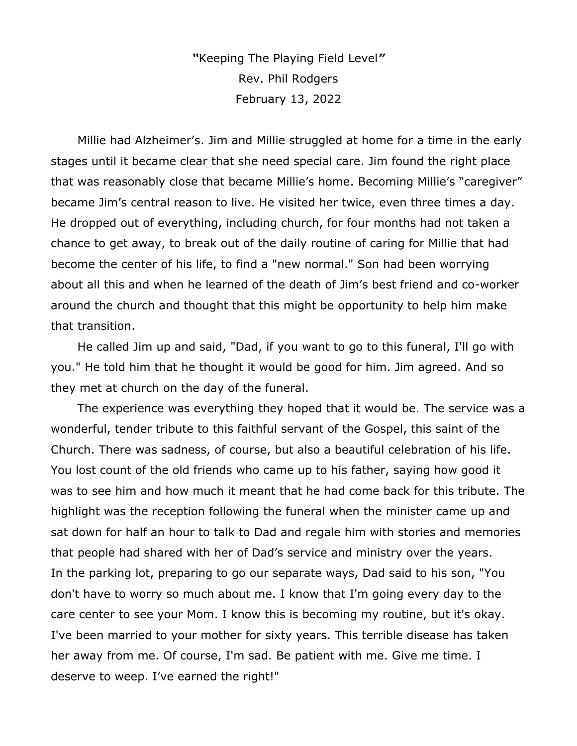*"*Keeping The Playing Field Level*"* Rev. Phil Rodgers February 13, 2022

Millie had Alzheimer's. Jim and Millie struggled at home for a time in the early stages until it became clear that she need special care. Jim found the right place that was reasonably close that became Millie's home. Becoming Millie's "caregiver" became Jim's central reason to live. He visited her twice, even three times a day. He dropped out of everything, including church, for four months had not taken a chance to get away, to break out of the daily routine of caring for Millie that had become the center of his life, to find a "new normal." Son had been worrying about all this and when he learned of the death of Jim's best friend and co-worker around the church and thought that this might be opportunity to help him make that transition.

He called Jim up and said, "Dad, if you want to go to this funeral, I'll go with you." He told him that he thought it would be good for him. Jim agreed. And so they met at church on the day of the funeral.

The experience was everything they hoped that it would be. The service was a wonderful, tender tribute to this faithful servant of the Gospel, this saint of the Church. There was sadness, of course, but also a beautiful celebration of his life. You lost count of the old friends who came up to his father, saying how good it was to see him and how much it meant that he had come back for this tribute. The highlight was the reception following the funeral when the minister came up and sat down for half an hour to talk to Dad and regale him with stories and memories that people had shared with her of Dad's service and ministry over the years. In the parking lot, preparing to go our separate ways, Dad said to his son, "You don't have to worry so much about me. I know that I'm going every day to the care center to see your Mom. I know this is becoming my routine, but it's okay. I've been married to your mother for sixty years. This terrible disease has taken her away from me. Of course, I'm sad. Be patient with me. Give me time. I deserve to weep. I've earned the right!"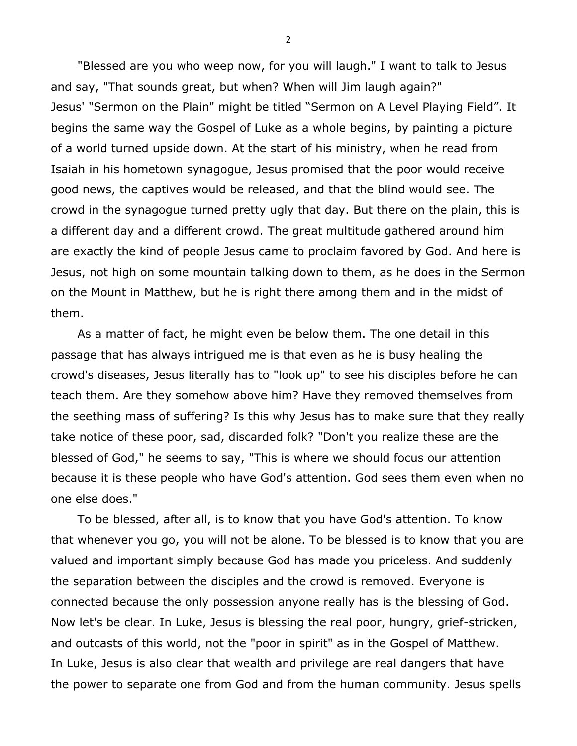"Blessed are you who weep now, for you will laugh." I want to talk to Jesus and say, "That sounds great, but when? When will Jim laugh again?" Jesus' "Sermon on the Plain" might be titled "Sermon on A Level Playing Field". It begins the same way the Gospel of Luke as a whole begins, by painting a picture of a world turned upside down. At the start of his ministry, when he read from Isaiah in his hometown synagogue, Jesus promised that the poor would receive good news, the captives would be released, and that the blind would see. The crowd in the synagogue turned pretty ugly that day. But there on the plain, this is a different day and a different crowd. The great multitude gathered around him are exactly the kind of people Jesus came to proclaim favored by God. And here is Jesus, not high on some mountain talking down to them, as he does in the Sermon on the Mount in Matthew, but he is right there among them and in the midst of them.

As a matter of fact, he might even be below them. The one detail in this passage that has always intrigued me is that even as he is busy healing the crowd's diseases, Jesus literally has to "look up" to see his disciples before he can teach them. Are they somehow above him? Have they removed themselves from the seething mass of suffering? Is this why Jesus has to make sure that they really take notice of these poor, sad, discarded folk? "Don't you realize these are the blessed of God," he seems to say, "This is where we should focus our attention because it is these people who have God's attention. God sees them even when no one else does."

To be blessed, after all, is to know that you have God's attention. To know that whenever you go, you will not be alone. To be blessed is to know that you are valued and important simply because God has made you priceless. And suddenly the separation between the disciples and the crowd is removed. Everyone is connected because the only possession anyone really has is the blessing of God. Now let's be clear. In Luke, Jesus is blessing the real poor, hungry, grief-stricken, and outcasts of this world, not the "poor in spirit" as in the Gospel of Matthew. In Luke, Jesus is also clear that wealth and privilege are real dangers that have the power to separate one from God and from the human community. Jesus spells

2